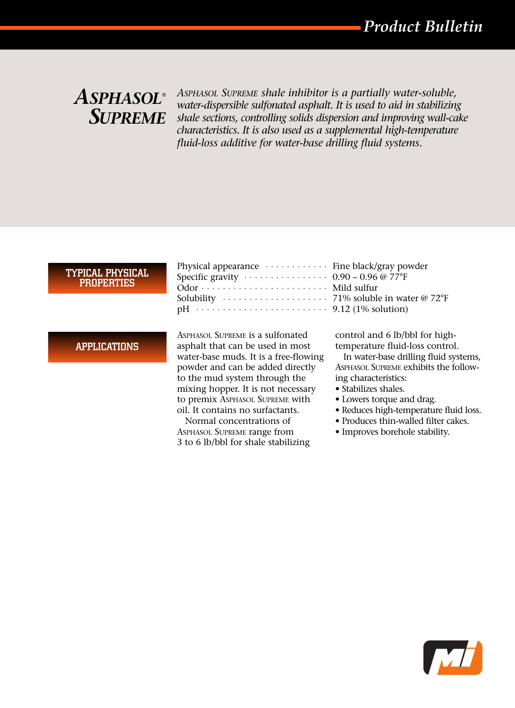# $A$ *SPHASOL® SUPREME*

*ASPHASOL SUPREME shale inhibitor is a partially water-soluble, water-dispersible sulfonated asphalt. It is used to aid in stabilizing shale sections, controlling solids dispersion and improving wall-cake characteristics. It is also used as a supplemental high-temperature fluid-loss additive for water-base drilling fluid systems.* 

#### TYPICAL PHYSICAL PROPERTIES

APPLICATIONS

| Physical appearance $\cdots \cdots \cdots$ Fine black/gray powder            |  |
|------------------------------------------------------------------------------|--|
| Specific gravity $\cdots \cdots \cdots \cdots 0.90 - 0.96 \circ 77^{\circ}F$ |  |
|                                                                              |  |
|                                                                              |  |
|                                                                              |  |

ASPHASOL SUPREME is a sulfonated asphalt that can be used in most water-base muds. It is a free-flowing powder and can be added directly to the mud system through the mixing hopper. It is not necessary to premix ASPHASOL SUPREME with oil. It contains no surfactants.

Normal concentrations of ASPHASOL SUPREME range from 3 to 6 lb/bbl for shale stabilizing  $0.90 - 0.96$  @ 77°F Mild sulfur  $71\%$  soluble in water @  $72^{\circ}$ F  $9.12$  (1% solution)

control and 6 lb/bbl for hightemperature fluid-loss control.

In water-base drilling fluid systems, ASPHASOL SUPREME exhibits the following characteristics:

- Stabilizes shales.
- Lowers torque and drag.
- Reduces high-temperature fluid loss.
- Produces thin-walled filter cakes.
- Improves borehole stability.